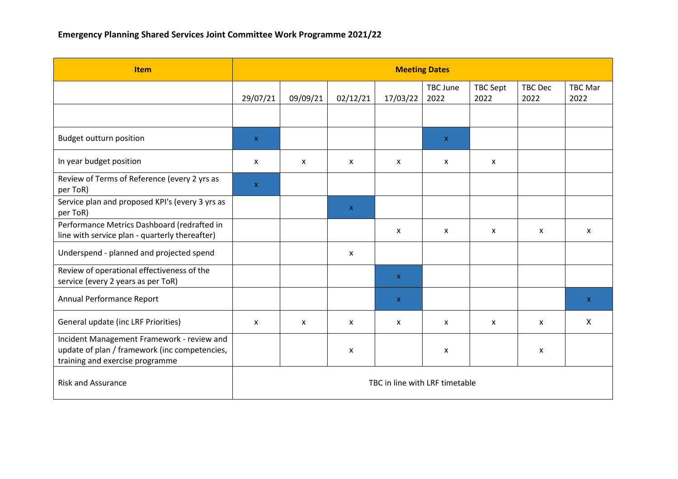| <b>Item</b>                                                                                                                    | <b>Meeting Dates</b>           |          |                           |              |                  |                           |                        |                        |  |
|--------------------------------------------------------------------------------------------------------------------------------|--------------------------------|----------|---------------------------|--------------|------------------|---------------------------|------------------------|------------------------|--|
|                                                                                                                                | 29/07/21                       | 09/09/21 | 02/12/21                  | 17/03/22     | TBC June<br>2022 | TBC Sept<br>2022          | <b>TBC Dec</b><br>2022 | <b>TBC Mar</b><br>2022 |  |
|                                                                                                                                |                                |          |                           |              |                  |                           |                        |                        |  |
| <b>Budget outturn position</b>                                                                                                 | $\mathsf{X}$                   |          |                           |              | $\mathbf{x}$     |                           |                        |                        |  |
| In year budget position                                                                                                        | $\mathsf{x}$                   | X        | $\mathsf{x}$              | X            | X                | $\mathsf{x}$              |                        |                        |  |
| Review of Terms of Reference (every 2 yrs as<br>per ToR)                                                                       | $\mathsf{X}$                   |          |                           |              |                  |                           |                        |                        |  |
| Service plan and proposed KPI's (every 3 yrs as<br>per ToR)                                                                    |                                |          | $\boldsymbol{\mathsf{X}}$ |              |                  |                           |                        |                        |  |
| Performance Metrics Dashboard (redrafted in<br>line with service plan - quarterly thereafter)                                  |                                |          |                           | X            | X                | $\boldsymbol{\mathsf{x}}$ | x                      | X                      |  |
| Underspend - planned and projected spend                                                                                       |                                |          | $\mathsf{x}$              |              |                  |                           |                        |                        |  |
| Review of operational effectiveness of the<br>service (every 2 years as per ToR)                                               |                                |          |                           | $\mathsf{X}$ |                  |                           |                        |                        |  |
| Annual Performance Report                                                                                                      |                                |          |                           | $\mathsf{X}$ |                  |                           |                        | $\mathsf{X}$           |  |
| General update (inc LRF Priorities)                                                                                            | $\mathsf{x}$                   | X        | $\mathsf{x}$              | X            | X                | $\mathsf{x}$              | X                      | X                      |  |
| Incident Management Framework - review and<br>update of plan / framework (inc competencies,<br>training and exercise programme |                                |          | X                         |              | X                |                           | $\pmb{\mathsf{x}}$     |                        |  |
| <b>Risk and Assurance</b>                                                                                                      | TBC in line with LRF timetable |          |                           |              |                  |                           |                        |                        |  |